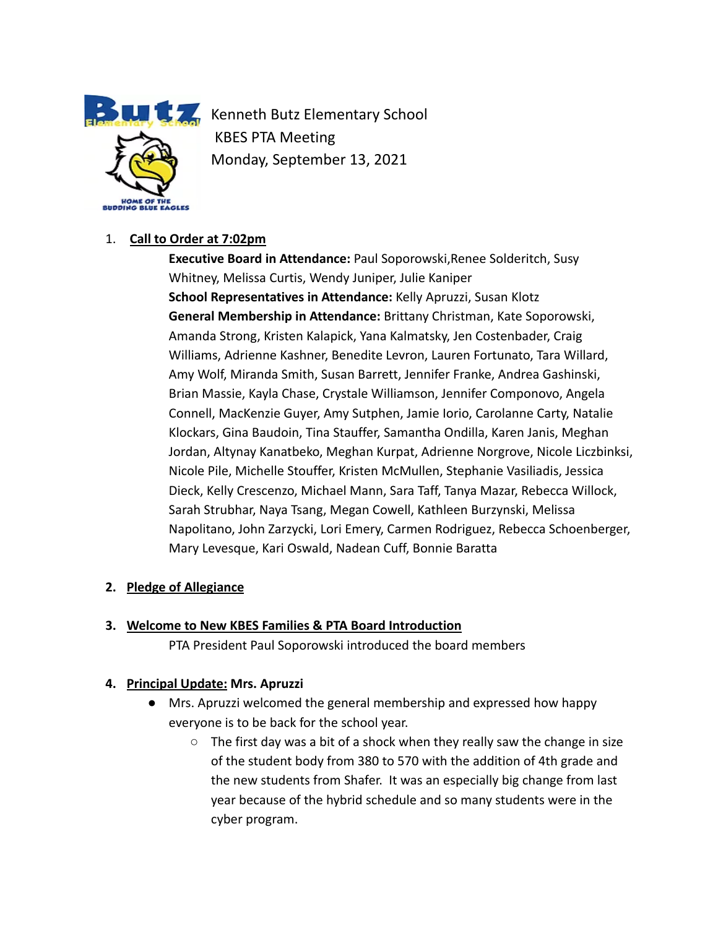

**Kenneth Butz Elementary School** KBES PTA Meeting Monday, September 13, 2021

# 1. **Call to Order at 7:02pm**

**Executive Board in Attendance:** Paul Soporowski,Renee Solderitch, Susy Whitney, Melissa Curtis, Wendy Juniper, Julie Kaniper **School Representatives in Attendance:** Kelly Apruzzi, Susan Klotz **General Membership in Attendance:** Brittany Christman, Kate Soporowski, Amanda Strong, Kristen Kalapick, Yana Kalmatsky, Jen Costenbader, Craig Williams, Adrienne Kashner, Benedite Levron, Lauren Fortunato, Tara Willard, Amy Wolf, Miranda Smith, Susan Barrett, Jennifer Franke, Andrea Gashinski, Brian Massie, Kayla Chase, Crystale Williamson, Jennifer Componovo, Angela Connell, MacKenzie Guyer, Amy Sutphen, Jamie Iorio, Carolanne Carty, Natalie Klockars, Gina Baudoin, Tina Stauffer, Samantha Ondilla, Karen Janis, Meghan Jordan, Altynay Kanatbeko, Meghan Kurpat, Adrienne Norgrove, Nicole Liczbinksi, Nicole Pile, Michelle Stouffer, Kristen McMullen, Stephanie Vasiliadis, Jessica Dieck, Kelly Crescenzo, Michael Mann, Sara Taff, Tanya Mazar, Rebecca Willock, Sarah Strubhar, Naya Tsang, Megan Cowell, Kathleen Burzynski, Melissa Napolitano, John Zarzycki, Lori Emery, Carmen Rodriguez, Rebecca Schoenberger, Mary Levesque, Kari Oswald, Nadean Cuff, Bonnie Baratta

## **2. Pledge of Allegiance**

## **3. Welcome to New KBES Families & PTA Board Introduction**

PTA President Paul Soporowski introduced the board members

## **4. Principal Update: Mrs. Apruzzi**

- Mrs. Apruzzi welcomed the general membership and expressed how happy everyone is to be back for the school year.
	- The first day was a bit of a shock when they really saw the change in size of the student body from 380 to 570 with the addition of 4th grade and the new students from Shafer. It was an especially big change from last year because of the hybrid schedule and so many students were in the cyber program.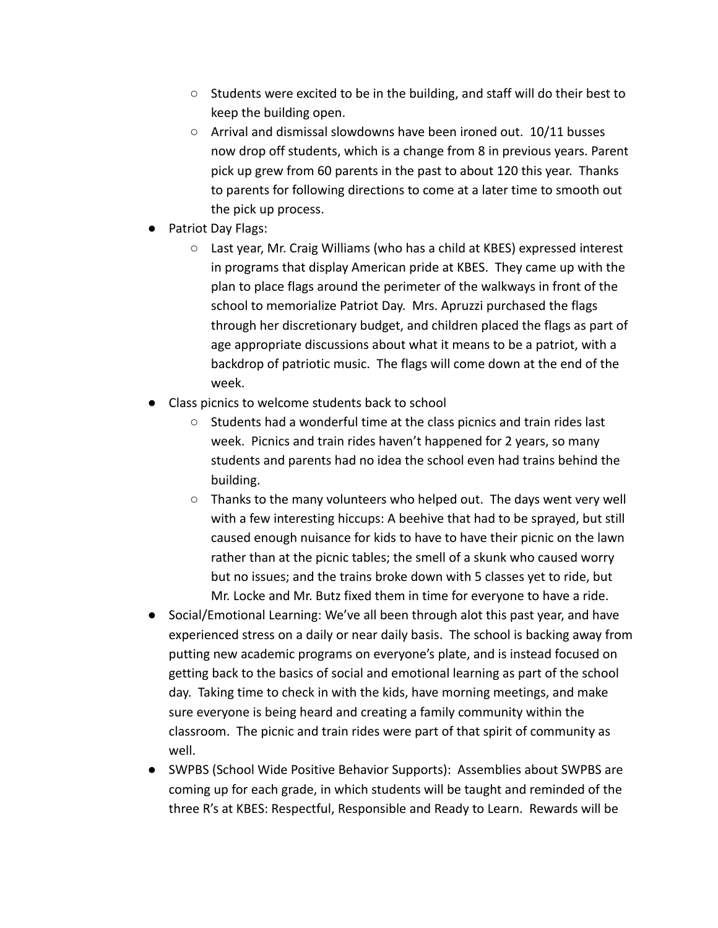- Students were excited to be in the building, and staff will do their best to keep the building open.
- Arrival and dismissal slowdowns have been ironed out. 10/11 busses now drop off students, which is a change from 8 in previous years. Parent pick up grew from 60 parents in the past to about 120 this year. Thanks to parents for following directions to come at a later time to smooth out the pick up process.
- Patriot Day Flags:
	- Last year, Mr. Craig Williams (who has a child at KBES) expressed interest in programs that display American pride at KBES. They came up with the plan to place flags around the perimeter of the walkways in front of the school to memorialize Patriot Day. Mrs. Apruzzi purchased the flags through her discretionary budget, and children placed the flags as part of age appropriate discussions about what it means to be a patriot, with a backdrop of patriotic music. The flags will come down at the end of the week.
- Class picnics to welcome students back to school
	- Students had a wonderful time at the class picnics and train rides last week. Picnics and train rides haven't happened for 2 years, so many students and parents had no idea the school even had trains behind the building.
	- Thanks to the many volunteers who helped out. The days went very well with a few interesting hiccups: A beehive that had to be sprayed, but still caused enough nuisance for kids to have to have their picnic on the lawn rather than at the picnic tables; the smell of a skunk who caused worry but no issues; and the trains broke down with 5 classes yet to ride, but Mr. Locke and Mr. Butz fixed them in time for everyone to have a ride.
- Social/Emotional Learning: We've all been through alot this past year, and have experienced stress on a daily or near daily basis. The school is backing away from putting new academic programs on everyone's plate, and is instead focused on getting back to the basics of social and emotional learning as part of the school day. Taking time to check in with the kids, have morning meetings, and make sure everyone is being heard and creating a family community within the classroom. The picnic and train rides were part of that spirit of community as well.
- SWPBS (School Wide Positive Behavior Supports): Assemblies about SWPBS are coming up for each grade, in which students will be taught and reminded of the three R's at KBES: Respectful, Responsible and Ready to Learn. Rewards will be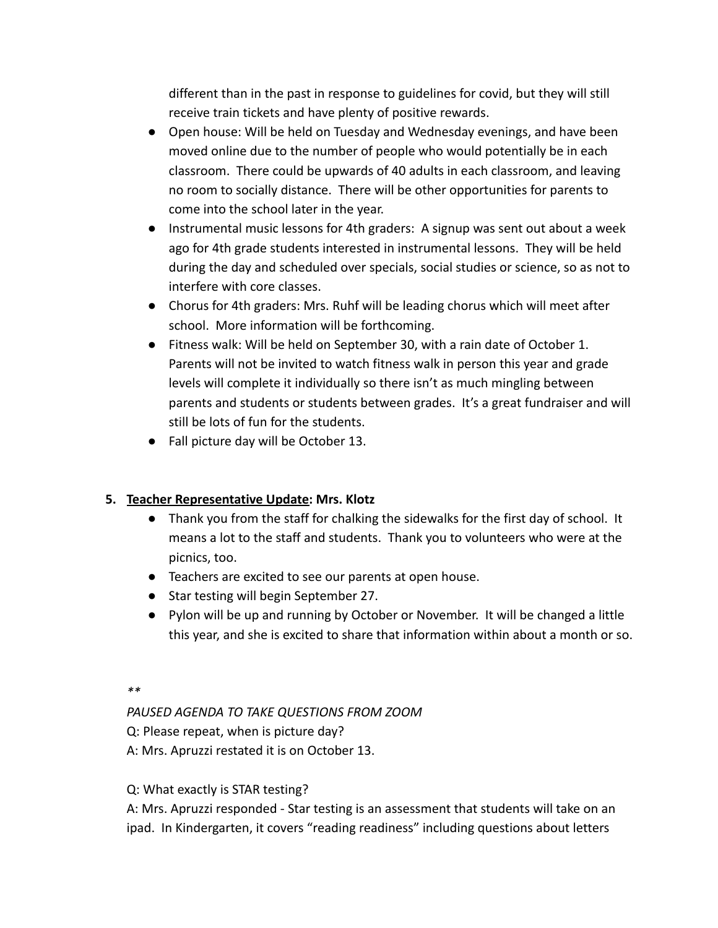different than in the past in response to guidelines for covid, but they will still receive train tickets and have plenty of positive rewards.

- Open house: Will be held on Tuesday and Wednesday evenings, and have been moved online due to the number of people who would potentially be in each classroom. There could be upwards of 40 adults in each classroom, and leaving no room to socially distance. There will be other opportunities for parents to come into the school later in the year.
- Instrumental music lessons for 4th graders: A signup was sent out about a week ago for 4th grade students interested in instrumental lessons. They will be held during the day and scheduled over specials, social studies or science, so as not to interfere with core classes.
- Chorus for 4th graders: Mrs. Ruhf will be leading chorus which will meet after school. More information will be forthcoming.
- Fitness walk: Will be held on September 30, with a rain date of October 1. Parents will not be invited to watch fitness walk in person this year and grade levels will complete it individually so there isn't as much mingling between parents and students or students between grades. It's a great fundraiser and will still be lots of fun for the students.
- Fall picture day will be October 13.

# **5. Teacher Representative Update: Mrs. Klotz**

- Thank you from the staff for chalking the sidewalks for the first day of school. It means a lot to the staff and students. Thank you to volunteers who were at the picnics, too.
- Teachers are excited to see our parents at open house.
- Star testing will begin September 27.
- Pylon will be up and running by October or November. It will be changed a little this year, and she is excited to share that information within about a month or so.

*\*\**

*PAUSED AGENDA TO TAKE QUESTIONS FROM ZOOM*

Q: Please repeat, when is picture day?

A: Mrs. Apruzzi restated it is on October 13.

# Q: What exactly is STAR testing?

A: Mrs. Apruzzi responded - Star testing is an assessment that students will take on an ipad. In Kindergarten, it covers "reading readiness" including questions about letters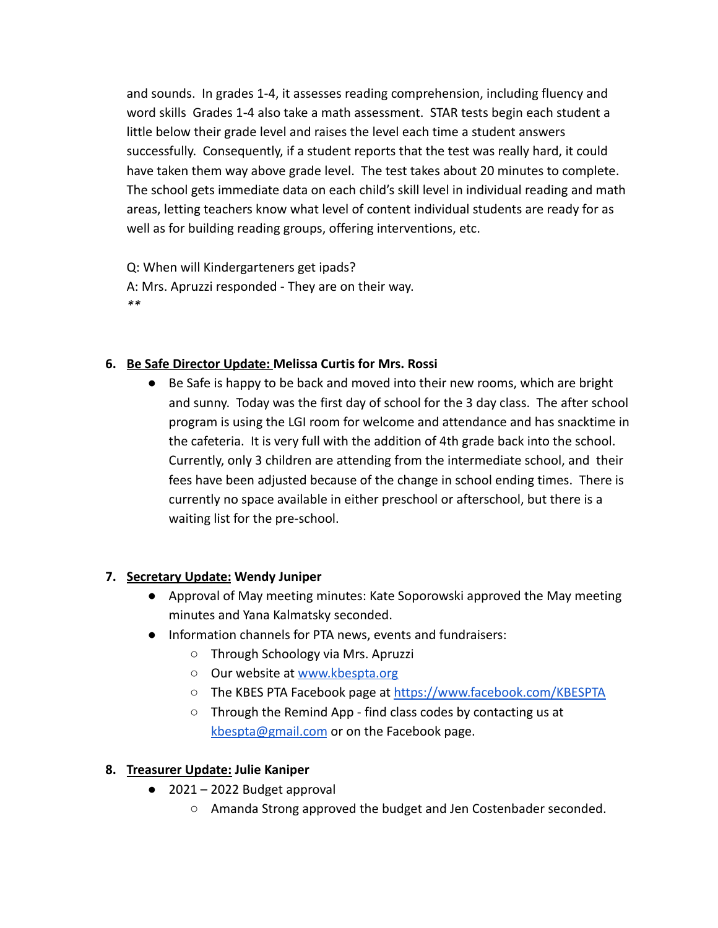and sounds. In grades 1-4, it assesses reading comprehension, including fluency and word skills Grades 1-4 also take a math assessment. STAR tests begin each student a little below their grade level and raises the level each time a student answers successfully. Consequently, if a student reports that the test was really hard, it could have taken them way above grade level. The test takes about 20 minutes to complete. The school gets immediate data on each child's skill level in individual reading and math areas, letting teachers know what level of content individual students are ready for as well as for building reading groups, offering interventions, etc.

Q: When will Kindergarteners get ipads? A: Mrs. Apruzzi responded - They are on their way. *\*\**

## **6. Be Safe Director Update: Melissa Curtis for Mrs. Rossi**

● Be Safe is happy to be back and moved into their new rooms, which are bright and sunny. Today was the first day of school for the 3 day class. The after school program is using the LGI room for welcome and attendance and has snacktime in the cafeteria. It is very full with the addition of 4th grade back into the school. Currently, only 3 children are attending from the intermediate school, and their fees have been adjusted because of the change in school ending times. There is currently no space available in either preschool or afterschool, but there is a waiting list for the pre-school.

## **7. Secretary Update: Wendy Juniper**

- Approval of May meeting minutes: Kate Soporowski approved the May meeting minutes and Yana Kalmatsky seconded.
- Information channels for PTA news, events and fundraisers:
	- Through Schoology via Mrs. Apruzzi
	- Our website at [www.kbespta.org](http://www.kbespta.org)
	- The KBES PTA Facebook page at <https://www.facebook.com/KBESPTA>
	- Through the Remind App find class codes by contacting us at [kbespta@gmail.com](mailto:kbespta@gmail.com) or on the Facebook page.

# **8. Treasurer Update: Julie Kaniper**

- 2021 2022 Budget approval
	- Amanda Strong approved the budget and Jen Costenbader seconded.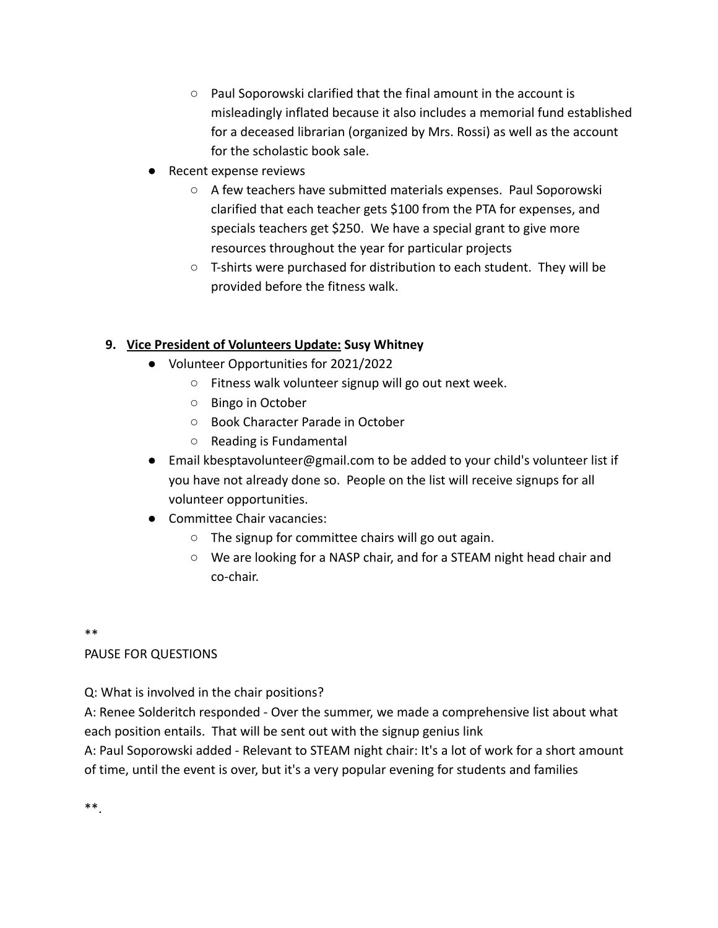- Paul Soporowski clarified that the final amount in the account is misleadingly inflated because it also includes a memorial fund established for a deceased librarian (organized by Mrs. Rossi) as well as the account for the scholastic book sale.
- Recent expense reviews
	- A few teachers have submitted materials expenses. Paul Soporowski clarified that each teacher gets \$100 from the PTA for expenses, and specials teachers get \$250. We have a special grant to give more resources throughout the year for particular projects
	- T-shirts were purchased for distribution to each student. They will be provided before the fitness walk.

## **9. Vice President of Volunteers Update: Susy Whitney**

- Volunteer Opportunities for 2021/2022
	- Fitness walk volunteer signup will go out next week.
	- Bingo in October
	- Book Character Parade in October
	- Reading is Fundamental
- Email kbesptavolunteer@gmail.com to be added to your child's volunteer list if you have not already done so. People on the list will receive signups for all volunteer opportunities.
- Committee Chair vacancies:
	- $\circ$  The signup for committee chairs will go out again.
	- We are looking for a NASP chair, and for a STEAM night head chair and co-chair.

\*\*

## PAUSE FOR QUESTIONS

Q: What is involved in the chair positions?

A: Renee Solderitch responded - Over the summer, we made a comprehensive list about what each position entails. That will be sent out with the signup genius link

A: Paul Soporowski added - Relevant to STEAM night chair: It's a lot of work for a short amount of time, until the event is over, but it's a very popular evening for students and families

\*\*.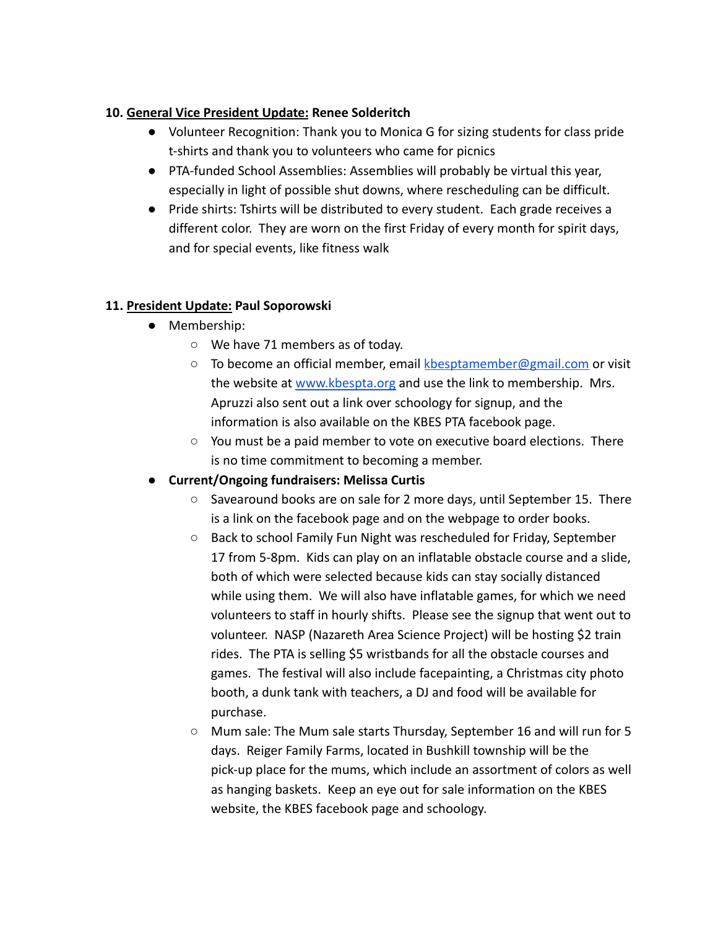## **10. General Vice President Update: Renee Solderitch**

- Volunteer Recognition: Thank you to Monica G for sizing students for class pride t-shirts and thank you to volunteers who came for picnics
- PTA-funded School Assemblies: Assemblies will probably be virtual this year, especially in light of possible shut downs, where rescheduling can be difficult.
- Pride shirts: Tshirts will be distributed to every student. Each grade receives a different color. They are worn on the first Friday of every month for spirit days, and for special events, like fitness walk

## **11. President Update: Paul Soporowski**

- Membership:
	- We have 71 members as of today.
	- $\circ$  To become an official member, email [kbesptamember@gmail.com](mailto:kbesptamember@gmail.com) or visit the website at [www.kbespta.org](http://www.kbespta.org) and use the link to membership. Mrs. Apruzzi also sent out a link over schoology for signup, and the information is also available on the KBES PTA facebook page.
	- $\circ$  You must be a paid member to vote on executive board elections. There is no time commitment to becoming a member.

# **● Current/Ongoing fundraisers: Melissa Curtis**

- Savearound books are on sale for 2 more days, until September 15. There is a link on the facebook page and on the webpage to order books.
- Back to school Family Fun Night was rescheduled for Friday, September 17 from 5-8pm. Kids can play on an inflatable obstacle course and a slide, both of which were selected because kids can stay socially distanced while using them. We will also have inflatable games, for which we need volunteers to staff in hourly shifts. Please see the signup that went out to volunteer. NASP (Nazareth Area Science Project) will be hosting \$2 train rides. The PTA is selling \$5 wristbands for all the obstacle courses and games. The festival will also include facepainting, a Christmas city photo booth, a dunk tank with teachers, a DJ and food will be available for purchase.
- Mum sale: The Mum sale starts Thursday, September 16 and will run for 5 days. Reiger Family Farms, located in Bushkill township will be the pick-up place for the mums, which include an assortment of colors as well as hanging baskets. Keep an eye out for sale information on the KBES website, the KBES facebook page and schoology.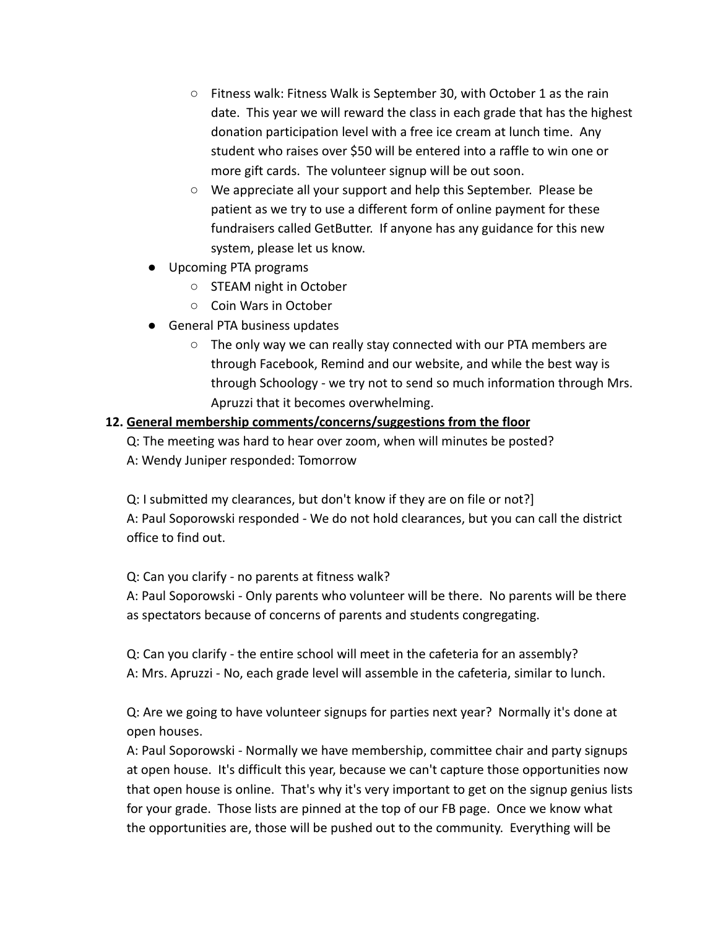- Fitness walk: Fitness Walk is September 30, with October 1 as the rain date. This year we will reward the class in each grade that has the highest donation participation level with a free ice cream at lunch time. Any student who raises over \$50 will be entered into a raffle to win one or more gift cards. The volunteer signup will be out soon.
- We appreciate all your support and help this September. Please be patient as we try to use a different form of online payment for these fundraisers called GetButter. If anyone has any guidance for this new system, please let us know.
- Upcoming PTA programs
	- STEAM night in October
	- Coin Wars in October
- General PTA business updates
	- The only way we can really stay connected with our PTA members are through Facebook, Remind and our website, and while the best way is through Schoology - we try not to send so much information through Mrs. Apruzzi that it becomes overwhelming.

## **12. General membership comments/concerns/suggestions from the floor**

Q: The meeting was hard to hear over zoom, when will minutes be posted?

A: Wendy Juniper responded: Tomorrow

Q: I submitted my clearances, but don't know if they are on file or not?] A: Paul Soporowski responded - We do not hold clearances, but you can call the district office to find out.

Q: Can you clarify - no parents at fitness walk?

A: Paul Soporowski - Only parents who volunteer will be there. No parents will be there as spectators because of concerns of parents and students congregating.

Q: Can you clarify - the entire school will meet in the cafeteria for an assembly? A: Mrs. Apruzzi - No, each grade level will assemble in the cafeteria, similar to lunch.

Q: Are we going to have volunteer signups for parties next year? Normally it's done at open houses.

A: Paul Soporowski - Normally we have membership, committee chair and party signups at open house. It's difficult this year, because we can't capture those opportunities now that open house is online. That's why it's very important to get on the signup genius lists for your grade. Those lists are pinned at the top of our FB page. Once we know what the opportunities are, those will be pushed out to the community. Everything will be